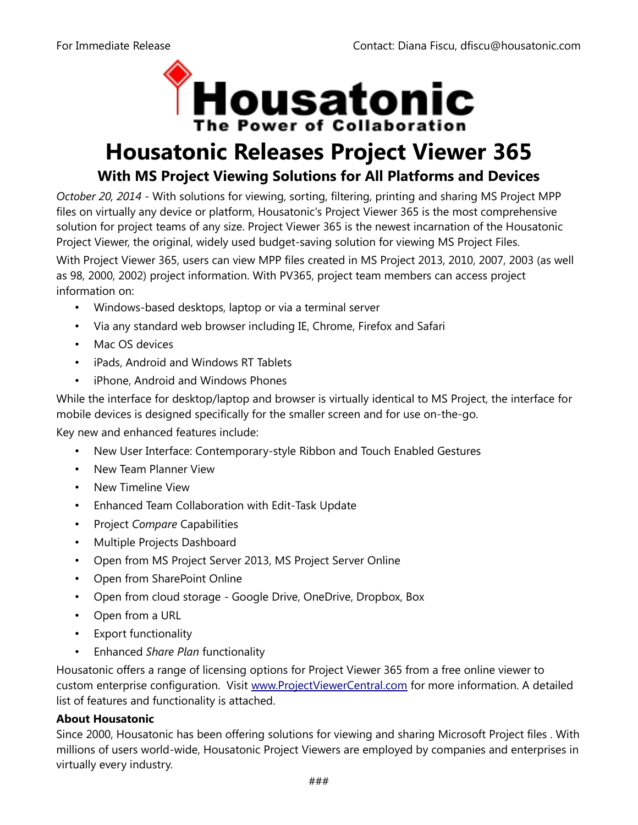

# **Housatonic Releases Project Viewer 365 With MS Project Viewing Solutions for All Platforms and Devices**

*October 20, 2014* - With solutions for viewing, sorting, filtering, printing and sharing MS Project MPP files on virtually any device or platform, Housatonic's Project Viewer 365 is the most comprehensive solution for project teams of any size. Project Viewer 365 is the newest incarnation of the Housatonic Project Viewer, the original, widely used budget-saving solution for viewing MS Project Files.

With Project Viewer 365, users can view MPP files created in MS Project 2013, 2010, 2007, 2003 (as well as 98, 2000, 2002) project information. With PV365, project team members can access project information on:

- Windows-based desktops, laptop or via a terminal server
- Via any standard web browser including IE, Chrome, Firefox and Safari
- Mac OS devices
- iPads, Android and Windows RT Tablets
- iPhone, Android and Windows Phones

While the interface for desktop/laptop and browser is virtually identical to MS Project, the interface for mobile devices is designed specifically for the smaller screen and for use on-the-go.

Key new and enhanced features include:

- New User Interface: Contemporary-style Ribbon and Touch Enabled Gestures
- New Team Planner View
- New Timeline View
- Enhanced Team Collaboration with Edit-Task Update
- Project *Compare* Capabilities
- Multiple Projects Dashboard
- Open from MS Project Server 2013, MS Project Server Online
- Open from SharePoint Online
- Open from cloud storage Google Drive, OneDrive, Dropbox, Box
- Open from a URL
- Export functionality
- Enhanced *Share Plan* functionality

Housatonic offers a range of licensing options for Project Viewer 365 from a free online viewer to custom enterprise configuration. Visit [www.ProjectViewerCentral.com](http://www.ProjectViewerCentral.com/) for more information. A detailed list of features and functionality is attached.

# **About Housatonic**

Since 2000, Housatonic has been offering solutions for viewing and sharing Microsoft Project files . With millions of users world-wide, Housatonic Project Viewers are employed by companies and enterprises in virtually every industry.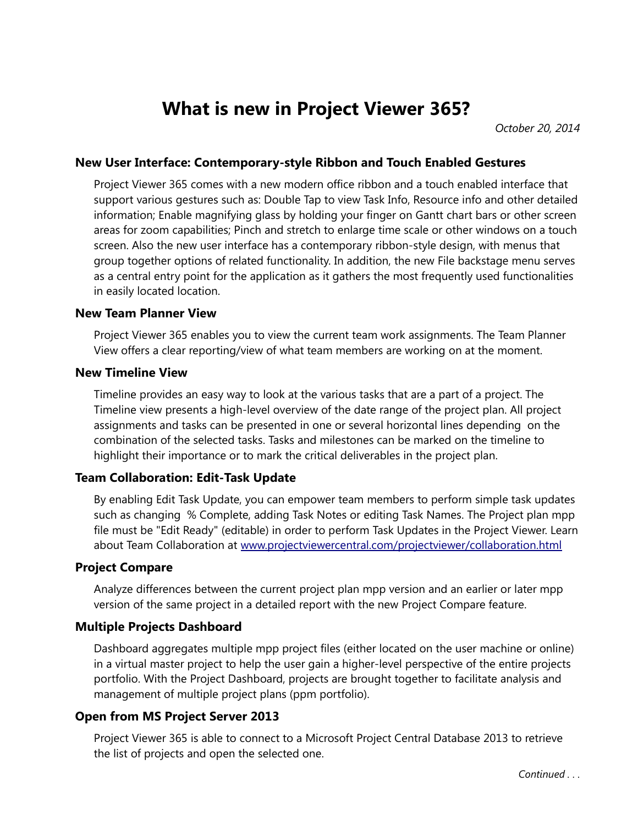# **What is new in Project Viewer 365?**

*October 20, 2014*

### **New User Interface: Contemporary-style Ribbon and Touch Enabled Gestures**

Project Viewer 365 comes with a new modern office ribbon and a touch enabled interface that support various gestures such as: Double Tap to view Task Info, Resource info and other detailed information; Enable magnifying glass by holding your finger on Gantt chart bars or other screen areas for zoom capabilities; Pinch and stretch to enlarge time scale or other windows on a touch screen. Also the new user interface has a contemporary ribbon-style design, with menus that group together options of related functionality. In addition, the new File backstage menu serves as a central entry point for the application as it gathers the most frequently used functionalities in easily located location.

#### **New Team Planner View**

Project Viewer 365 enables you to view the current team work assignments. The Team Planner View offers a clear reporting/view of what team members are working on at the moment.

#### **New Timeline View**

Timeline provides an easy way to look at the various tasks that are a part of a project. The Timeline view presents a high-level overview of the date range of the project plan. All project assignments and tasks can be presented in one or several horizontal lines depending on the combination of the selected tasks. Tasks and milestones can be marked on the timeline to highlight their importance or to mark the critical deliverables in the project plan.

### **Team Collaboration: Edit-Task Update**

By enabling Edit Task Update, you can empower team members to perform simple task updates such as changing % Complete, adding Task Notes or editing Task Names. The Project plan mpp file must be "Edit Ready" (editable) in order to perform Task Updates in the Project Viewer. Learn about Team Collaboration at [www.projectviewercentral.com/projectviewer/collaboration.html](http://www.projectviewercentral.com/projectviewer/collaboration.html)

### **Project Compare**

Analyze differences between the current project plan mpp version and an earlier or later mpp version of the same project in a detailed report with the new Project Compare feature.

### **Multiple Projects Dashboard**

Dashboard aggregates multiple mpp project files (either located on the user machine or online) in a virtual master project to help the user gain a higher-level perspective of the entire projects portfolio. With the Project Dashboard, projects are brought together to facilitate analysis and management of multiple project plans (ppm portfolio).

### **Open from MS Project Server 2013**

Project Viewer 365 is able to connect to a Microsoft Project Central Database 2013 to retrieve the list of projects and open the selected one.